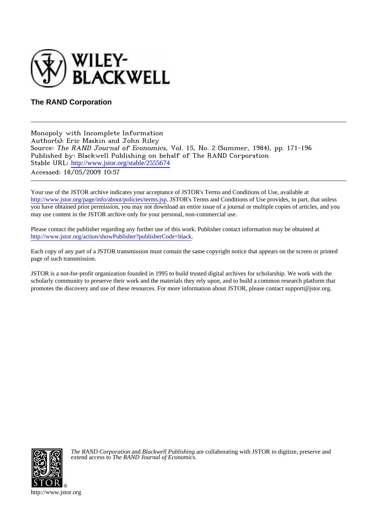

## **The RAND Corporation**

Monopoly with Incomplete Information Author(s): Eric Maskin and John Riley Source: The RAND Journal of Economics, Vol. 15, No. 2 (Summer, 1984), pp. 171-196 Published by: Blackwell Publishing on behalf of The RAND Corporation Stable URL: [http://www.jstor.org/stable/2555674](http://www.jstor.org/stable/2555674?origin=JSTOR-pdf) Accessed: 18/05/2009 10:57

Your use of the JSTOR archive indicates your acceptance of JSTOR's Terms and Conditions of Use, available at <http://www.jstor.org/page/info/about/policies/terms.jsp>. JSTOR's Terms and Conditions of Use provides, in part, that unless you have obtained prior permission, you may not download an entire issue of a journal or multiple copies of articles, and you may use content in the JSTOR archive only for your personal, non-commercial use.

Please contact the publisher regarding any further use of this work. Publisher contact information may be obtained at [http://www.jstor.org/action/showPublisher?publisherCode=black.](http://www.jstor.org/action/showPublisher?publisherCode=black)

Each copy of any part of a JSTOR transmission must contain the same copyright notice that appears on the screen or printed page of such transmission.

JSTOR is a not-for-profit organization founded in 1995 to build trusted digital archives for scholarship. We work with the scholarly community to preserve their work and the materials they rely upon, and to build a common research platform that promotes the discovery and use of these resources. For more information about JSTOR, please contact support@jstor.org.



*The RAND Corporation* and *Blackwell Publishing* are collaborating with JSTOR to digitize, preserve and extend access to *The RAND Journal of Economics.*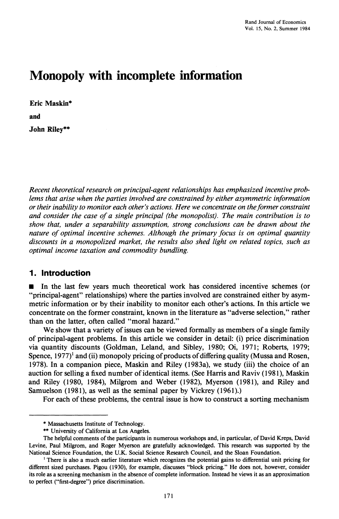# **Monopoly with incomplete information**

**Eric Maskin\* and John Riley\*\*** 

**Recent theoretical research on principal-agent relationships has emphasized incentive problems that arise when the parties involved are constrained by either asymmetric information or their inability to monitor each other's actions. Here we concentrate on theformer constraint and consider the case of a single principal (the monopolist). The main contribution is to show that, under a separability assumption, strong conclusions can be drawn about the nature of optimal incentive schemes. Although the primary focus is on optimal quantity discounts in a monopolized market, the results also shed light on related topics, such as optimal income taxation and commodity bundling.** 

## **1. Introduction**

**a In the last few years much theoretical work has considered incentive schemes (or "principal-agent" relationships) where the parties involved are constrained either by asymmetric information or by their inability to monitor each other's actions. In this article we concentrate on the former constraint, known in the literature as "adverse selection," rather than on the latter, often called "moral hazard."** 

**We show that a variety of issues can be viewed formally as members of a single family of principal-agent problems. In this article we consider in detail: (i) price discrimination via quantity discounts (Goldman, Leland, and Sibley, 1980; Oi, 1971; Roberts, 1979;**  Spence, 1977)<sup>1</sup> and (ii) monopoly pricing of products of differing quality (Mussa and Rosen, **1978). In a companion piece, Maskin and Riley (1983a), we study (iii) the choice of an auction for selling a fixed number of identical items. (See Harris and Raviv (1981), Maskin and Riley (1980, 1984), Milgrom and Weber (1982), Myerson (1981), and Riley and Samuelson (1981), as well as the seminal paper by Vickrey (1961).)** 

**For each of these problems, the central issue is how to construct a sorting mechanism** 

**<sup>\*</sup> Massachusetts Institute of Technology.** 

**<sup>\*\*</sup> University of California at Los Angeles.** 

**The helpful comments of the participants in numerous workshops and, in particular, of David Kreps, David Levine, Paul Milgrom, and Roger Myerson are gratefully acknowledged. This research was supported by the National Science Foundation, the U.K. Social Science Research Council, and the Sloan Foundation.** 

**<sup>&#</sup>x27;There is also a much earlier literature which recognizes the potential gains to differential unit pricing for different sized purchases. Pigou (1930), for example, discusses "block pricing." He does not, however, consider its role as a screening mechanism in the absence of complete information. Instead he views it as an approximation to perfect ("first-degree") price discrimination.**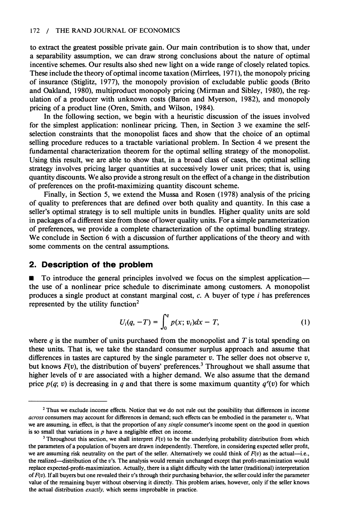#### **172 / THE RAND JOURNAL OF ECONOMICS**

**to extract the greatest possible private gain. Our main contribution is to show that, under a separability assumption, we can draw strong conclusions about the nature of optimal incentive schemes. Our results also shed new light on a wide range of closely related topics. These include the theory of optimal income taxation (Mirrlees, 1971), the monopoly pricing of insurance (Stiglitz, 1977), the monopoly provision of excludable public goods (Brito and Oakland, 1980), multiproduct monopoly pricing (Mirman and Sibley, 1980), the regulation of a producer with unknown costs (Baron and Myerson, 1982), and monopoly pricing of a product line (Oren, Smith, and Wilson, 1984).** 

**In the following section, we begin with a heuristic discussion of the issues involved for the simplest application: nonlinear pricing. Then, in Section 3 we examine the selfselection constraints that the monopolist faces and show that the choice of an optimal selling procedure reduces to a tractable variational problem. In Section 4 we present the fundamental characterization theorem for the optimal selling strategy of the monopolist. Using this result, we are able to show that, in a broad class of cases, the optimal selling strategy involves pricing larger quantities at successively lower unit prices; that is, using quantity discounts. We also provide a strong result on the effect of a change in the distribution of preferences on the profit-maximizing quantity discount scheme.** 

**Finally, in Section 5, we extend the Mussa and Rosen (1978) analysis of the pricing of quality to preferences that are defined over both quality and quantity. In this case a seller's optimal strategy is to sell multiple units in bundles. Higher quality units are sold in packages of a different size from those of lower quality units. For a simple parameterization of preferences, we provide a complete characterization of the optimal bundling strategy. We conclude in Section 6 with a discussion of further applications of the theory and with some comments on the central assumptions.** 

#### **2. Description of the problem**

 $\blacksquare$  To introduce the general principles involved we focus on the simplest application **the use of a nonlinear price schedule to discriminate among customers. A monopolist produces a single product at constant marginal cost, c. A buyer of type i has preferences represented by the utility function2** 

$$
U_i(q, -T) = \int_0^q p(x; v_i) dx - T,
$$
 (1)

where  $q$  is the number of units purchased from the monopolist and  $T$  is total spending on **these units. That is, we take the standard consumer surplus approach and assume that**  differences in tastes are captured by the single parameter  $v$ . The seller does not observe  $v$ , **but knows F(v), the distribution of buyers' preferences.3 Throughout we shall assume that higher levels of v are associated with a higher demand. We also assume that the demand**  price  $p(q; v)$  is decreasing in q and that there is some maximum quantity  $q^e(v)$  for which

**<sup>2</sup>Thus we exclude income effects. Notice that we do not rule out the possibility that differences in income**  *across* consumers may account for differences in demand; such effects can be embodied in the parameter  $v_i$ . What **we are assuming, in effect, is that the proportion of any single consumer's income spent on the good in question is so small that variations in p have a negligible effect on income.** 

<sup>&</sup>lt;sup>3</sup> Throughout this section, we shall interpret  $F(v)$  to be the underlying probability distribution from which **the parameters of a population of buyers are drawn independently. Therefore, in considering expected seller profit,**  we are assuming risk neutrality on the part of the seller. Alternatively we could think of  $F(v)$  as the actual-i.e., **the realized-distribution of the v's. The analysis would remain unchanged except that profit-maximization would replace expected-profit-maximization. Actually, there is a slight difficulty with the latter (traditional) interpretation of F(v). If all buyers but one revealed their v's through their purchasing behavior, the seller could infer the parameter value of the remaining buyer without observing it directly. This problem arises, however, only if the seller knows the actual distribution exactly, which seems improbable in practice.**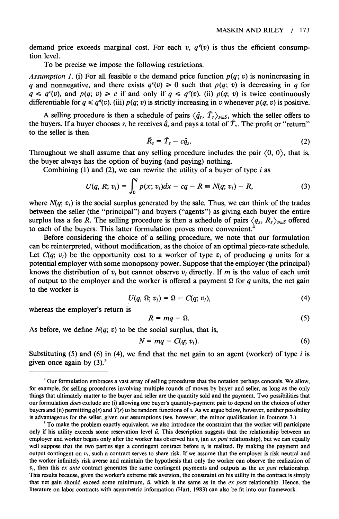demand price exceeds marginal cost. For each v,  $q^e(v)$  is thus the efficient consump**tion level.** 

**To be precise we impose the following restrictions.** 

Assumption 1. (i) For all feasible v the demand price function  $p(q; v)$  is nonincreasing in **q** and nonnegative, and there exists  $q^e(v) \ge 0$  such that  $p(q; v)$  is decreasing in q for  $q \leq q^e(v)$ , and  $p(q; v) \geq c$  if and only if  $q \leq q^e(v)$ . (ii)  $p(q; v)$  is twice continuously **differentiable for**  $q \leq q^e(v)$ **. (iii)**  $p(q; v)$  **is strictly increasing in v whenever**  $p(q; v)$  **is positive.** 

A selling procedure is then a schedule of pairs  $\langle \hat{q}_s, \hat{T}_s \rangle_{s \in S}$ , which the seller offers to the buyers. If a buyer chooses s, he receives  $\hat{q}_s$  and pays a total of  $\hat{T}_s$ . The profit or "return" **to the seller is then** 

$$
\hat{R}_s = \hat{T}_s - c\hat{q}_s. \tag{2}
$$

Throughout we shall assume that any selling procedure includes the pair  $(0, 0)$ , that is, **the buyer always has the option of buying (and paying) nothing.** 

**Combining (1) and (2), we can rewrite the utility of a buyer of type i as** 

$$
U(q, R; v_i) = \int_0^q p(x; v_i) dx - cq - R = N(q; v_i) - R,
$$
 (3)

where  $N(q; v_i)$  is the social surplus generated by the sale. Thus, we can think of the trades **between the seller (the "principal") and buyers ("agents") as giving each buyer the entire**  surplus less a fee R. The selling procedure is then a schedule of pairs  $\langle q_s, R_s \rangle_{s \in S}$  offered to each of the buyers. This latter formulation proves more convenient.<sup>4</sup>

**Before considering the choice of a selling procedure, we note that our formulation can be reinterpreted, without modification, as the choice of an optimal piece-rate schedule.**  Let  $C(q; v_i)$  be the opportunity cost to a worker of type  $v_i$  of producing q units for a **potential employer with some monopsony power. Suppose that the employer (the principal)**  knows the distribution of  $v_i$  but cannot observe  $v_i$  directly. If m is the value of each unit of output to the employer and the worker is offered a payment  $\Omega$  for q units, the net gain **to the worker is** 

$$
U(q, \Omega; v_i) = \Omega - C(q; v_i), \qquad (4)
$$

**whereas the employer's return is** 

$$
R = mq - \Omega. \tag{5}
$$

As before, we define  $N(q; v)$  to be the social surplus, that is,

$$
N = mq - C(q; v_i), \tag{6}
$$

**Substituting (5) and (6) in (4), we find that the net gain to an agent (worker) of type i is given once again by (3).5** 

**<sup>4</sup> Our formulation embraces a vast array of selling procedures that the notation perhaps conceals. We allow, for example, for selling procedures involving multiple rounds of moves by buyer and seller, as long as the only things that ultimately matter to the buyer and seller are the quantity sold and the payment. Two possibilities that our formulation does exclude are (i) allowing one buyer's quantity-payment pair to depend on the choices of other**  buyers and (ii) permitting  $q(s)$  and  $\hat{T}(s)$  to be random functions of s. As we argue below, however, neither possibility **is advantageous for the seller, given our assumptions (see, however, the minor qualification in footnote 3.)** 

**<sup>5</sup> To make the problem exactly equivalent, we also introduce the constraint that the worker will participate only if his utility exceeds some reservation level ii. This description suggests that the relationship between an**  employer and worker begins only after the worker has observed his  $v_i$  (an ex post relationship), but we can equally well suppose that the two parties sign a contingent contract before  $v_i$  is realized. By making the payment and output contingent on  $v_i$ , such a contract serves to share risk. If we assume that the employer is risk neutral and **the worker infinitely risk averse and maintain the hypothesis that only the worker can observe the realization of**   $v_i$ , then this *ex ante* contract generates the same contingent payments and outputs as the *ex post* relationship. **This results because, given the worker's extreme risk aversion, the constraint on his utility in the contract is simply that net gain should exceed some minimum, fi, which is the same as in the ex post relationship. Hence, the literature on labor contracts with asymmetric information (Hart, 1983) can also be fit into our framework.**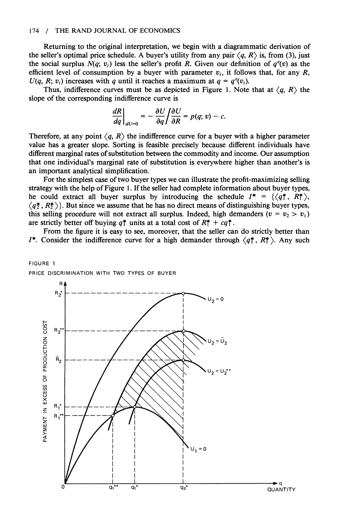#### **174 / THE RAND JOURNAL OF ECONOMICS**

**Returning to the original interpretation, we begin with a diagrammatic derivation of**  the seller's optimal price schedule. A buyer's utility from any pair  $\langle q, R \rangle$  is, from (3), just the social surplus  $N(q; v_i)$  less the seller's profit R. Given our definition of  $q^e(v)$  as the efficient level of consumption by a buyer with parameter  $v_i$ , it follows that, for any R,  $U(q, R; v_i)$  increases with q until it reaches a maximum at  $q = q^e(v_i)$ .

Thus, indifference curves must be as depicted in Figure 1. Note that at  $\langle q, R \rangle$  the **slope of the corresponding indifference curve is** 

$$
\left.\frac{dR}{dq}\right|_{dU=0}=-\left.\frac{\partial U}{\partial q}\right/\frac{\partial U}{\partial R}=p(q; v)-c.
$$

Therefore, at any point  $\langle q, R \rangle$  the indifference curve for a buyer with a higher parameter **value has a greater slope. Sorting is feasible precisely because different individuals have different marginal rates of substitution between the commodity and income. Our assumption that one individual's marginal rate of substitution is everywhere higher than another's is an important analytical simplification.** 

**For the simplest case of two buyer types we can illustrate the profit-maximizing selling strategy with the help of Figure 1. If the seller had complete information about buyer types,**  he could extract all buyer surplus by introducing the schedule  $I^* = \{\langle q^*, R^* \rangle, \}$  $\langle q\overline{q}, R\overline{q}\rangle$ . But since we assume that he has no direct means of distinguishing buyer types, this selling procedure will not extract all surplus. Indeed, high demanders ( $v = v_2 > v_1$ ) are strictly better off buying  $q_1^*$  units at a total cost of  $R_1^* + cq_1^*$ .

**From the figure it is easy to see, moreover, that the seller can do strictly better than I\*.** Consider the indifference curve for a high demander through  $\langle q_1^*, R_1^* \rangle$ . Any such

**PRICE DISCRIMINATION WITH TWO TYPES OF BUYER** 

**FIGURE 1** 

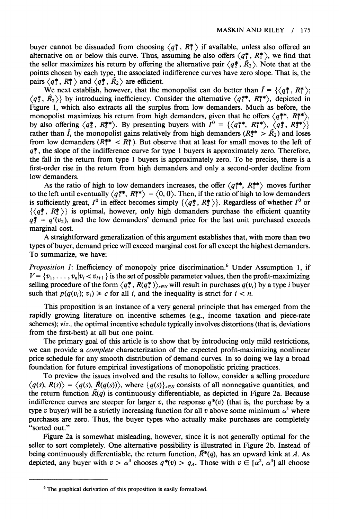buyer cannot be dissuaded from choosing  $\langle q_1^*, R_1^* \rangle$  if available, unless also offered an alternative on or below this curve. Thus, assuming he also offers  $\langle q_1^*, R_1^* \rangle$ , we find that the seller maximizes his return by offering the alternative pair  $\langle q^*, \overline{R}_2 \rangle$ . Note that at the **points chosen by each type, the associated indifference curves have zero slope. That is, the**  pairs  $\langle q_1^*, R_1^* \rangle$  and  $\langle q_2^*, R_2 \rangle$  are efficient.

We next establish, however, that the monopolist can do better than  $\hat{I} = \{ \langle q_1^*, R_1^* \rangle; \langle q_2^*, R_2^* \rangle; \langle q_1^*, R_2^* \rangle; \langle q_2^*, R_1^* \rangle; \langle q_1^*, R_2^* \rangle; \langle q_2^*, R_2^* \rangle; \langle q_1^*, R_2^* \rangle; \langle q_2^*, R_1^* \rangle; \langle q_2^*, R_2^* \rangle; \langle q_1^*, R_2$  $\langle q_2^*, \overline{R}_2 \rangle$  by introducing inefficiency. Consider the alternative  $\langle q_1^{**}, R_1^{**} \rangle$ , depicted in **Figure 1, which also extracts all the surplus from low demanders. Much as before, the**  monopolist maximizes his return from high demanders, given that he offers  $\langle q^{**}, R^{**} \rangle$ , by also offering  $\langle q_2^*, R_2^{**} \rangle$ . By presenting buyers with  $I^0 = \{\langle q_1^{**}, R_1^{**} \rangle, \langle q_2^*, R_2^{**} \rangle\}$ rather than  $\hat{I}$ , the monopolist gains relatively from high demanders ( $R_2^{**} > R_2$ ) and loses from low demanders  $(R_1^{**} < R_1^*)$ . But observe that at least for small moves to the left of  $q^*$ , the slope of the indifference curve for type 1 buyers is approximately zero. Therefore, **the fall in the return from type 1 buyers is approximately zero. To be precise, there is a first-order rise in the return from high demanders and only a second-order decline from low demanders.** 

As the ratio of high to low demanders increases, the offer  $\langle q_1^{**}, R_1^{**} \rangle$  moves further to the left until eventually  $\langle q^{**}, R^{**} \rangle = \langle 0, 0 \rangle$ . Then, if the ratio of high to low demanders is sufficiently great,  $I^0$  in effect becomes simply  $\{\langle q_2^*, R_2^* \rangle\}$ . Regardless of whether  $I^0$  or  $\{\langle q_2^*, R_2^* \rangle\}$  is optimal, however, only high demanders purchase the efficient quantity  $q_2^* = q^e(v_2)$ , and the low demanders' demand price for the last unit purchased exceeds **marginal cost.** 

**A straightforward generalization of this argument establishes that, with more than two types of buyer, demand price will exceed marginal cost for all except the highest demanders. To summarize, we have:** 

**Proposition 1: Inefficiency of monopoly price discrimination.**<sup>6</sup> Under Assumption 1, if  $V = \{v_1, \ldots, v_n | v_i < v_{i+1}\}\$ is the set of possible parameter values, then the profit-maximizing selling procedure of the form  $\langle q_s^*, R(q_s^*) \rangle_{s \in S}$  will result in purchases  $q(v_i)$  by a type *i* buyer such that  $p(q(v_i); v_i) \geq c$  for all i, and the inequality is strict for  $i < n$ .

**This proposition is an instance of a very general principle that has emerged from the rapidly growing literature on incentive schemes (e.g., income taxation and piece-rate schemes); viz., the optimal incentive schedule typically involves distortions (that is, deviations from the first-best) at all but one point.** 

**The primary goal of this article is to show that by introducing only mild restrictions, we can provide a complete characterization of the expected profit-maximizing nonlinear price schedule for any smooth distribution of demand curves. In so doing we lay a broad foundation for future empirical investigations of monopolistic pricing practices.** 

**To preview the issues involved and the results to follow, consider a selling procedure**   $\langle q(s), R(s) \rangle = \langle q(s), \overline{R}(q(s)) \rangle$ , where  $\{q(s)\}_{s \in S}$  consists of all nonnegative quantities, and the return function  $\bar{R}(q)$  is continuously differentiable, as depicted in Figure 2a. Because **indifference curves are steeper for larger v, the response**  $q^*(v)$  **(that is, the purchase by a** type v buyer) will be a strictly increasing function for all v above some minimum  $\alpha^1$  where **purchases are zero. Thus, the buyer types who actually make purchases are completely "sorted out."** 

**Figure 2a is somewhat misleading, however, since it is not generally optimal for the seller to sort completely. One alternative possibility is illustrated in Figure 2b. Instead of**  being continuously differentiable, the return function,  $\overline{R}^*(q)$ , has an upward kink at A. As depicted, any buyer with  $v > \alpha^3$  chooses  $q^*(v) > q_A$ . Those with  $v \in [\alpha^2, \alpha^3]$  all choose

**<sup>6</sup> The graphical derivation of this proposition is easily formalized.**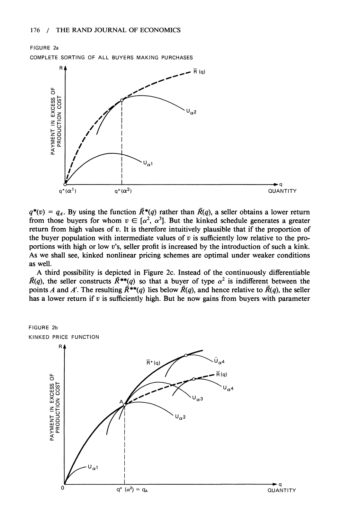

 $q^*(v) = q_A$ . By using the function  $\overline{R}^*(q)$  rather than  $\overline{R}(q)$ , a seller obtains a lower return from those buyers for whom  $v \in [\alpha^2, \alpha^3]$ . But the kinked schedule generates a greater **return from high values of v. It is therefore intuitively plausible that if the proportion of the buyer population with intermediate values of v is sufficiently low relative to the proportions with high or low v's, seller profit is increased by the introduction of such a kink. As we shall see, kinked nonlinear pricing schemes are optimal under weaker conditions as well.** 

**A third possibility is depicted in Figure 2c. Instead of the continuously differentiable**   $\overline{R}(q)$ , the seller constructs  $\overline{R}^{**}(q)$  so that a buyer of type  $\alpha^2$  is indifferent between the points A and A'. The resulting  $\overline{R}^{**}(q)$  lies below  $\overline{R}(q)$ , and hence relative to  $\overline{R}(q)$ , the seller has a lower return if  $v$  is sufficiently high. But he now gains from buyers with parameter

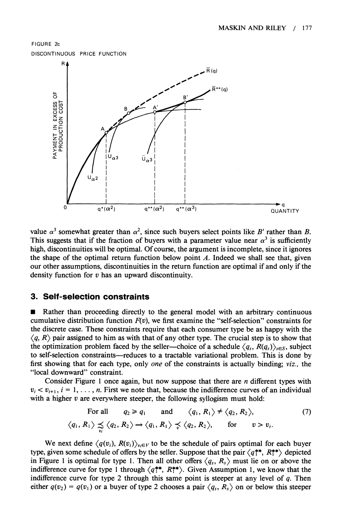**FIGURE 2c DISCONTINUOUS PRICE FUNCTION** 



value  $\alpha^3$  somewhat greater than  $\alpha^2$ , since such buyers select points like B' rather than B. This suggests that if the fraction of buyers with a parameter value near  $\alpha^3$  is sufficiently **high, discontinuities will be optimal. Of course, the argument is incomplete, since it ignores the shape of the optimal return function below point A. Indeed we shall see that, given our other assumptions, discontinuities in the return function are optimal if and only if the density function for v has an upward discontinuity.** 

## **3. Self-selection constraints**

**Vi** 

Rather than proceeding directly to the general model with an arbitrary continuous cumulative distribution function  $F(v)$ , we first examine the "self-selection" constraints for **the discrete case. These constraints require that each consumer type be as happy with the**   $\langle q, R \rangle$  pair assigned to him as with that of any other type. The crucial step is to show that the optimization problem faced by the seller—choice of a schedule  $\langle q_s, R(q_s) \rangle_{s \in S}$ , subject to self-selection constraints-reduces to a tractable variational problem. This is done by **first showing that for each type, only one of the constraints is actually binding; viz., the "local downward" constraint.** 

**Consider Figure 1 once again, but now suppose that there are n different types with**   $v_i < v_{i+1}$ ,  $i = 1, \ldots, n$ . First we note that, because the indifference curves of an individual with a higher v are everywhere steeper, the following syllogism must hold:

For all 
$$
q_2 \ge q_1
$$
 and  $\langle q_1, R_1 \rangle \ne \langle q_2, R_2 \rangle$ , (7)  
 $\langle q_1, R_1 \rangle \preceq \langle q_2, R_2 \rangle \rightarrow \langle q_1, R_1 \rangle \preceq \langle q_2, R_2 \rangle$ , for  $v > v_i$ .

We next define  $\langle q(v_i), R(v_i) \rangle_{v_i \in V}$  to be the schedule of pairs optimal for each buyer type, given some schedule of offers by the seller. Suppose that the pair  $\langle q_1^{**}, R_1^{**} \rangle$  depicted in Figure 1 is optimal for type 1. Then all other offers  $\langle q_s, R_s \rangle$  must lie on or above the **indifference curve for type 1 through**  $\langle q^{**}, R^{**} \rangle$ **. Given Assumption 1, we know that the indifference curve for type 2 through this same point is steeper at any level of q. Then**  either  $q(v_2) = q(v_1)$  or a buyer of type 2 chooses a pair  $\langle q_s, R_s \rangle$  on or below this steeper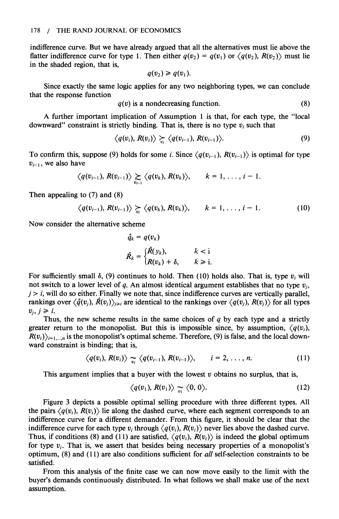**indifference curve. But we have already argued that all the alternatives must lie above the flatter indifference curve for type 1. Then either**  $q(v_2) = q(v_1)$  **or**  $\langle q(v_2), R(v_2) \rangle$  **must lie in the shaded region, that is,** 

$$
q(v_2)\geqslant q(v_1).
$$

**Since exactly the same logic applies for any two neighboring types, we can conclude that the response function** 

 $q(v)$  is a nondecreasing function.  $(8)$ 

**A further important implication of Assumption 1 is that, for each type, the "local**  downward" constraint is strictly binding. That is, there is no type  $v_i$  such that

$$
\langle q(v_i), R(v_i) \rangle \succcurlyeq \langle q(v_{i-1}), R(v_{i-1}) \rangle. \tag{9}
$$

To confirm this, suppose (9) holds for some *i*. Since  $\langle q(v_{i-1}), R(v_{i-1}) \rangle$  is optimal for type  $v_{i-1}$ , we also have

$$
\langle q(v_{i-1}), R(v_{i-1}) \rangle \sum_{v_{i-1}} \langle q(v_k), R(v_k) \rangle, \qquad k = 1, \ldots, i-1.
$$

**Then appealing to (7) and (8)** 

$$
\langle q(v_{i-1}), R(v_{i-1}) \rangle \succcurlyeq \langle q(v_k), R(v_k) \rangle, \qquad k = 1, \ldots, i-1. \tag{10}
$$

**Now consider the alternative scheme** 

$$
\hat{q}_k = q(v_k)
$$
\n
$$
\hat{R}_k = \begin{cases}\n\tilde{R}(y_k), & k < i \\
R(v_k) + \delta, & k \geq i.\n\end{cases}
$$

For sufficiently small  $\delta$ , (9) continues to hold. Then (10) holds also. That is, type  $v_i$  will not switch to a lower level of q. An almost identical argument establishes that no type  $v_i$ ,  $j > i$ , will do so either. Finally we note that, since indifference curves are vertically parallel, rankings over  $\langle \hat{q}(v_i), \hat{R}(v_i) \rangle_{i \geq i}$  are identical to the rankings over  $\langle q(v_i), R(v_i) \rangle$  for all types  $v_i, j \geq i.$ 

**Thus, the new scheme results in the same choices of q by each type and a strictly**  greater return to the monopolist. But this is impossible since, by assumption,  $\langle q(v_i), \rangle$  $R(v_i)_{i=1,\dots,n}$  is the monopolist's optimal scheme. Therefore, (9) is false, and the local down**ward constraint is binding; that is,** 

$$
\langle q(v_i), R(v_i) \rangle \sim \langle q(v_{i-1}), R(v_{i-1}) \rangle, \qquad i = 2, \ldots, n. \qquad (11)
$$

**This argument implies that a buyer with the lowest v obtains no surplus, that is,** 

$$
\langle q(v_1), R(v_1) \rangle \underset{v_1}{\sim} \langle 0, 0 \rangle. \tag{12}
$$

**Figure 3 depicts a possible optimal selling procedure with three different types. All**  the pairs  $\langle q(v_i), R(v_i) \rangle$  lie along the dashed curve, where each segment corresponds to an **indifference curve for a different demander. From this figure, it should be clear that the indifference curve for each type**  $v_i$  **through**  $\langle q(v_i), R(v_i) \rangle$  **never lies above the dashed curve.** Thus, if conditions (8) and (11) are satisfied,  $\langle q(v_i), R(v_i) \rangle$  is indeed the global optimum for type  $v_i$ . That is, we assert that besides being necessary properties of a monopolist's **optimum, (8) and (1 1) are also conditions sufficient for all self-selection constraints to be satisfied.** 

**From this analysis of the finite case we can now move easily to the limit with the buyer's demands continuously distributed. In what follows we shall make use of the next assumption.**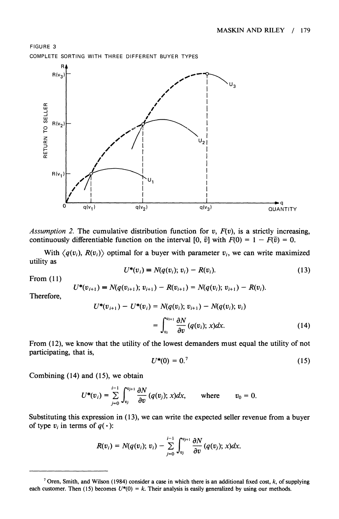

Assumption 2. The cumulative distribution function for  $v$ ,  $F(v)$ , is a strictly increasing, **continuously differentiable function on the interval**  $[0, \bar{v}]$  **with**  $F(0) = 1 - F(\bar{v}) = 0$ **.** 

With  $\langle q(v_i), R(v_i) \rangle$  optimal for a buyer with parameter  $v_i$ , we can write maximized **utility as** 

$$
U^*(v_i) = N(q(v_i); v_i) - R(v_i).
$$
 (13)

**From (11)** 

$$
U^*(v_{i+1}) = N(q(v_{i+1}); v_{i+1}) - R(v_{i+1}) = N(q(v_i); v_{i+1}) - R(v_i).
$$

**Therefore,** 

$$
U^*(v_{i+1}) - U^*(v_i) = N(q(v_i); v_{i+1}) - N(q(v_i); v_i)
$$
  
= 
$$
\int_{v_i}^{v_{i+1}} \frac{\partial N}{\partial v} (q(v_i); x) dx.
$$
 (14)

**From (12), we know that the utility of the lowest demanders must equal the utility of not participating, that is,** 

$$
U^*(0) = 0.^7 \tag{15}
$$

**Combining (14) and (15), we obtain** 

$$
U^*(v_i)=\sum_{j=0}^{i-1}\int_{v_j}^{v_{j+1}}\frac{\partial N}{\partial v}(q(v_j);x)dx,\qquad\text{where}\qquad v_0=0.
$$

**Substituting this expression in ( 13), we can write the expected seller revenue from a buyer**  of type  $v_i$  in terms of  $q(\cdot)$ :

$$
R(v_i) = N(q(v_i); v_i) - \sum_{j=0}^{i-1} \int_{v_j}^{v_{j+1}} \frac{\partial N}{\partial v} (q(v_j); x) dx.
$$

**<sup>7</sup>Oren, Smith, and Wilson (1984) consider a case in which there is an additional fixed cost, k, of supplying**  each customer. Then (15) becomes  $U^*(0) = k$ . Their analysis is easily generalized by using our methods.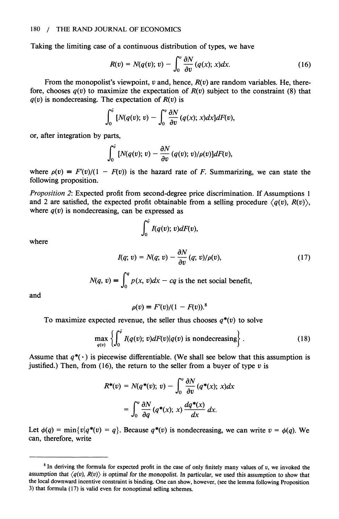**Taking the limiting case of a continuous distribution of types, we have** 

$$
R(v) = N(q(v); v) - \int_0^v \frac{\partial N}{\partial v} (q(x); x) dx.
$$
 (16)

From the monopolist's viewpoint, v and, hence,  $R(v)$  are random variables. He, therefore, chooses  $q(v)$  to maximize the expectation of  $R(v)$  subject to the constraint (8) that  $q(v)$  is nondecreasing. The expectation of  $R(v)$  is

$$
\int_0^{\bar{v}} \left[ N(q(v); v) - \int_0^v \frac{\partial N}{\partial v} (q(x); x) dx \right] dF(v),
$$

**or, after integration by parts,** 

$$
\int_0^{\bar{v}} [N(q(v); v) - \frac{\partial N}{\partial v} (q(v); v) / \rho(v)] dF(v),
$$

where  $\rho(v) = F'(v)/(1 - F(v))$  is the hazard rate of F. Summarizing, we can state the **following proposition.** 

**Proposition 2: Expected profit from second-degree price discrimination. If Assumptions 1**  and 2 are satisfied, the expected profit obtainable from a selling procedure  $\langle q(v), R(v) \rangle$ , where  $q(v)$  is nondecreasing, can be expressed as

$$
\int_0^{\bar{v}} I(q(v); v)dF(v),
$$

**where** 

$$
I(q; v) = N(q; v) - \frac{\partial N}{\partial v}(q; v) / \rho(v), \qquad (17)
$$

**rq ~ ~ ~ a**   $N(q, v) = \int_{0}^{R} p(x, v) dx - cq$  is the net social benefit,

**and** 

$$
\rho(v) \equiv F'(v)/(1 - F(v)).^8
$$

To maximize expected revenue, the seller thus chooses  $q^*(v)$  to solve

$$
\max_{q(v)} \left\{ \int_0^{\bar{v}} I(q(v); v) dF(v) | q(v) \text{ is nondecreasing} \right\}.
$$
 (18)

Assume that  $q^*(\cdot)$  is piecewise differentiable. (We shall see below that this assumption is justified.) Then, from (16), the return to the seller from a buyer of type  $v$  is

$$
R^*(v) = N(q^*(v); v) - \int_0^v \frac{\partial N}{\partial v} (q^*(x); x) dx
$$

$$
= \int_0^v \frac{\partial N}{\partial q} (q^*(x); x) \frac{dq^*(x)}{dx} dx.
$$

Let  $\phi(q) = \min\{v|q^*(v) = q\}$ . Because  $q^*(v)$  is nondecreasing, we can write  $v = \phi(q)$ . We **can, therefore, write** 

**<sup>8</sup>In deriving the formula for expected profit in the case of only finitely many values of v, we invoked the**  assumption that  $\langle q(v), R(v) \rangle$  is optimal for the monopolist. In particular, we used this assumption to show that **the local downward incentive constraint is binding. One can show, however, (see the lemma following Proposition 3) that formula (17) is valid even for nonoptimal selling schemes.**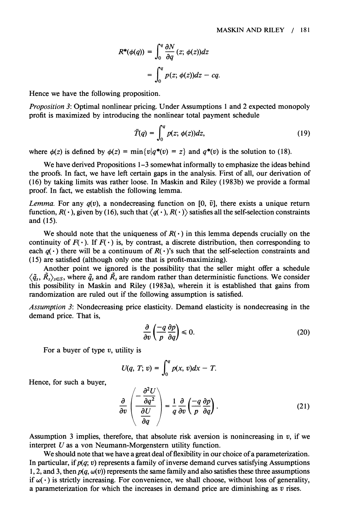$$
R^*(\phi(q)) = \int_0^q \frac{\partial N}{\partial q} (z; \phi(z)) dz
$$
  
= 
$$
\int_0^q p(z; \phi(z)) dz - cq.
$$

**Hence we have the following proposition.** 

**Proposition 3: Optimal nonlinear pricing. Under Assumptions 1 and 2 expected monopoly profit is maximized by introducing the nonlinear total payment schedule** 

$$
\bar{T}(q) = \int_0^q p(z; \phi(z))dz,
$$
\n(19)

where  $\phi(z)$  is defined by  $\phi(z) = \min\{v|q^*(v) = z\}$  and  $q^*(v)$  is the solution to (18).

**We have derived Propositions 1-3 somewhat informally to emphasize the ideas behind the proofs. In fact, we have left certain gaps in the analysis. First of all, our derivation of (16) by taking limits was rather loose. In Maskin and Riley (1983b) we provide a formal proof. In fact, we establish the following lemma.** 

*Lemma.* For any  $q(v)$ , a nondecreasing function on [0,  $\bar{v}$ ], there exists a unique return function,  $R(\cdot)$ , given by (16), such that  $\langle q(\cdot), R(\cdot) \rangle$  satisfies all the self-selection constraints **and (15).** 

We should note that the uniqueness of  $R(\cdot)$  in this lemma depends crucially on the continuity of  $F(\cdot)$ . If  $F(\cdot)$  is, by contrast, a discrete distribution, then corresponding to each  $q(\cdot)$  there will be a continuum of  $R(\cdot)$ 's such that the self-selection constraints and **(15) are satisfied (although only one that is profit-maximizing).** 

**Another point we ignored is the possibility that the seller might offer a schedule**   $\langle \tilde{q}_s, \tilde{R}_s \rangle_{s \in S}$ , where  $\tilde{q}_s$  and  $\tilde{R}_s$  are random rather than deterministic functions. We consider **this possibility in Maskin and Riley (1983a), wherein it is established that gains from randomization are ruled out if the following assumption is satisfied.** 

**Assumption 3: Nondecreasing price elasticity. Demand elasticity is nondecreasing in the demand price. That is,** 

$$
\frac{\partial}{\partial v} \left( \frac{-q}{p} \frac{\partial p}{\partial q} \right) \leq 0. \tag{20}
$$

**For a buyer of type v, utility is** 

$$
U(q, T; v) = \int_0^q p(x, v) dx - T.
$$

**Hence, for such a buyer,** 

$$
\frac{\partial}{\partial v}\left(\frac{-\frac{\partial^2 U}{\partial q^2}}{\frac{\partial U}{\partial q}}\right) = \frac{1}{q}\frac{\partial}{\partial v}\left(\frac{-q}{p}\frac{\partial p}{\partial q}\right). \tag{21}
$$

**Assumption 3 implies, therefore, that absolute risk aversion is nonincreasing in v, if we interpret U as a von Neumann-Morgenstern utility function.** 

**We should note that we have a great deal of flexibility in our choice of a parameterization. In particular, if p(q; v) represents a family of inverse demand curves satisfying Assumptions**  1, 2, and 3, then  $p(q, \omega(v))$  represents the same family and also satisfies these three assumptions if  $\omega(\cdot)$  is strictly increasing. For convenience, we shall choose, without loss of generality, **a parameterization for which the increases in demand price are diminishing as v rises.**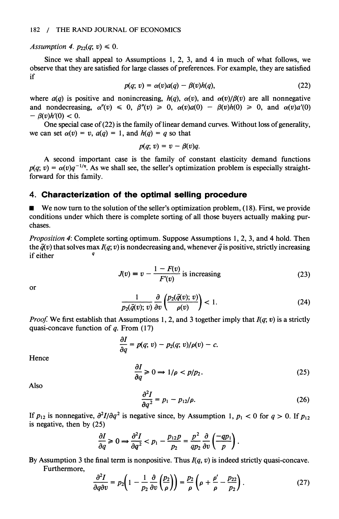Assumption 4.  $p_{22}(q; v) \leq 0$ .

**Since we shall appeal to Assumptions 1, 2, 3, and 4 in much of what follows, we observe that they are satisfied for large classes of preferences. For example, they are satisfied if** 

$$
p(q; v) = \alpha(v)a(q) - \beta(v)h(q), \qquad (22)
$$

where  $a(q)$  is positive and nonincreasing,  $h(q)$ ,  $\alpha(v)$ , and  $\alpha(v)/\beta(v)$  are all nonnegative and nondecreasing,  $\alpha''(v) \leq 0$ ,  $\beta''(v) \geq 0$ ,  $\alpha(v)a(0) - \beta(v)h(0) \geq 0$ , and  $\alpha(v)a'(0)$  $- \beta(v)h'(0) < 0.$ 

**One special case of (22) is the family of linear demand curves. Without loss of generality,**  we can set  $\alpha(v) = v$ ,  $a(q) = 1$ , and  $h(q) = q$  so that

$$
p(q; v) = v - \beta(v)q.
$$

**A second important case is the family of constant elasticity demand functions**   $p(q; v) = \alpha(v)q^{-1/\eta}$ . As we shall see, the seller's optimization problem is especially straight**forward for this family.** 

### **4. Characterization of the optimal selling procedure**

We now turn to the solution of the seller's optimization problem, (18). First, we provide **conditions under which there is complete sorting of all those buyers actually making purchases.** 

**Proposition 4: Complete sorting optimum. Suppose Assumptions 1, 2, 3, and 4 hold. Then**  the  $\bar{q}(v)$  that solves max  $I(q; v)$  is nondecreasing and, whenever  $\bar{q}$  is positive, strictly increasing **if either <sup>q</sup>**

$$
J(v) = v - \frac{1 - F(v)}{F'(v)}
$$
 is increasing (23)

**or** 

$$
\frac{1}{p_2(\bar{q}(v); v)} \frac{\partial}{\partial v} \left( \frac{p_2(\bar{q}(v); v)}{\rho(v)} \right) < 1. \tag{24}
$$

**Proof: We first establish that Assumptions 1, 2, and 3 together imply that I(q; v) is a strictly quasi-concave function of q. From (17)** 

$$
\frac{\partial I}{\partial q} = p(q; v) - p_2(q; v) / \rho(v) - c.
$$

**Hence** 

$$
\frac{\partial I}{\partial q} \geq 0 \Longrightarrow 1/\rho < p/p_2. \tag{25}
$$

**Also** 

$$
\frac{\partial^2 I}{\partial q^2} = p_1 - p_{12}/\rho. \tag{26}
$$

If  $p_{12}$  is nonnegative,  $\frac{\partial^2 I}{\partial q^2}$  is negative since, by Assumption 1,  $p_1 < 0$  for  $q > 0$ . If  $p_{12}$ **is negative, then by (25)** 

$$
\frac{\partial I}{\partial q} \geqslant 0 \Longrightarrow \frac{\partial^2 I}{\partial q^2} < p_1 - \frac{p_{12}p}{p_2} = \frac{p^2}{qp_2} \frac{\partial}{\partial v} \left( \frac{-qp_1}{p} \right).
$$

**By Assumption 3 the final term is nonpositive. Thus I(q, v) is indeed strictly quasi-concave. Furthermore,** 

$$
\frac{\partial^2 I}{\partial q \partial v} = p_2 \left( 1 - \frac{1}{p_2} \frac{\partial}{\partial v} \left( \frac{p_2}{\rho} \right) \right) = \frac{p_2}{\rho} \left( \rho + \frac{\rho'}{\rho} - \frac{p_{22}}{p_2} \right). \tag{27}
$$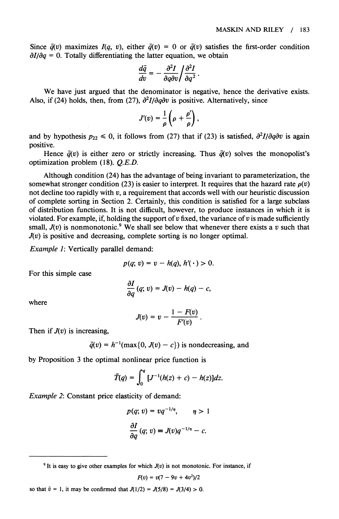Since  $\bar{q}(v)$  maximizes  $I(q, v)$ , either  $\bar{q}(v) = 0$  or  $\bar{q}(v)$  satisfies the first-order condition  $\partial I/\partial q = 0$ . Totally differentiating the latter equation, we obtain

$$
\frac{d\bar{q}}{dv}=-\frac{\partial^2 I}{\partial q\partial v}\bigg/\frac{\partial^2 I}{\partial q^2}\,.
$$

**We have just argued that the denominator is negative, hence the derivative exists.**  Also, if (24) holds, then, from (27),  $\frac{\partial^2 I}{\partial q \partial v}$  is positive. Alternatively, since

$$
J'(v)=\frac{1}{\rho}\left(\rho+\frac{\rho'}{\rho}\right),\,
$$

and by hypothesis  $p_{22} \le 0$ , it follows from (27) that if (23) is satisfied,  $\frac{\partial^2 I}{\partial q \partial v}$  is again **positive.** 

Hence  $\bar{q}(v)$  is either zero or strictly increasing. Thus  $\bar{q}(v)$  solves the monopolist's **optimization problem (18). Q.E.D.** 

**Although condition (24) has the advantage of being invariant to parameterization, the**  somewhat stronger condition (23) is easier to interpret. It requires that the hazard rate  $\rho(v)$ **not decline too rapidly with v, a requirement that accords well with our heuristic discussion of complete sorting in Section 2. Certainly, this condition is satisfied for a large subclass of distribution functions. It is not difficult, however, to produce instances in which it is**  violated. For example, if, holding the support of  $v$  fixed, the variance of  $v$  is made sufficiently small,  $J(v)$  is nonmonotonic.<sup>9</sup> We shall see below that whenever there exists a v such that **J(v) is positive and decreasing, complete sorting is no longer optimal.** 

**Example 1: Vertically parallel demand:** 

$$
p(q; v) = v - h(q), h'(\cdot) > 0.
$$

**For this simple case** 

$$
\frac{\partial I}{\partial q}(q; v) = J(v) - h(q) - c,
$$

**where** 

$$
J(v)=v-\frac{1-F(v)}{F'(v)}.
$$

**Then if J(v) is increasing,** 

$$
\bar{q}(v) = h^{-1}(\max\{0, J(v) - c\})
$$
 is nondecreasing, and

**by Proposition 3 the optimal nonlinear price function is** 

$$
\bar{T}(q) = \int_0^q [J^{-1}(h(z) + c) - h(z)]dz.
$$

**Example 2: Constant price elasticity of demand:** 

$$
p(q; v) = vq^{-1/\eta}, \qquad \eta > 1
$$

$$
\frac{\partial I}{\partial q}(q; v) = J(v)q^{-1/\eta} - c.
$$

<sup>9</sup> It is easy to give other examples for which  $J(v)$  is not monotonic. For instance, if

$$
F(v) = v(7 - 9v + 4v^2)/2
$$

so that  $\bar{v} = 1$ , it may be confirmed that  $J(1/2) = J(5/8) = J(3/4) > 0$ .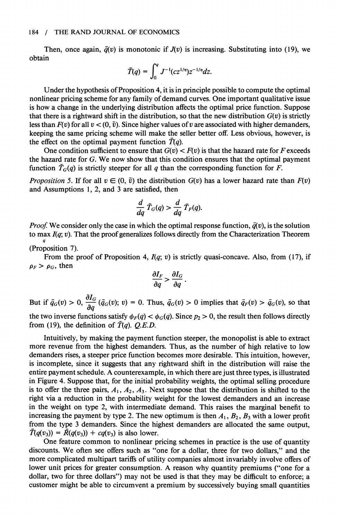Then, once again,  $\bar{q}(v)$  is monotonic if  $J(v)$  is increasing. Substituting into (19), we **obtain** 

$$
\bar{T}(q) = \int_0^q J^{-1}(cz^{1/\eta})z^{-1/\eta}dz.
$$

**Under the hypothesis of Proposition 4, it is in principle possible to compute the optimal nonlinear pricing scheme for any family of demand curves. One important qualitative issue is how a change in the underlying distribution affects the optimal price function. Suppose**  that there is a rightward shift in the distribution, so that the new distribution  $G(v)$  is strictly less than  $F(v)$  for all  $v < (0, \bar{v})$ . Since higher values of v are associated with higher demanders, **keeping the same pricing scheme will make the seller better off. Less obvious, however, is**  the effect on the optimal payment function  $\overline{T}(q)$ .

One condition sufficient to ensure that  $G(v) < F(v)$  is that the hazard rate for F exceeds **the hazard rate for G. We now show that this condition ensures that the optimal payment**  function  $\overline{T}_G(q)$  is strictly steeper for all q than the corresponding function for F.

*Proposition 5.* If for all  $v \in (0, \bar{v})$  the distribution  $G(v)$  has a lower hazard rate than  $F(v)$ **and Assumptions 1, 2, and 3 are satisfied, then** 

$$
\frac{d}{dq}\,\bar{T}_G(q) > \frac{d}{dq}\,\bar{T}_F(q).
$$

*Proof.* We consider only the case in which the optimal response function,  $\bar{q}(v)$ , is the solution to max  $I(q; v)$ . That the proof generalizes follows directly from the Characterization Theorem **q (Proposition 7).** 

From the proof of Proposition 4,  $I(q; v)$  is strictly quasi-concave. Also, from (17), if  $\rho_F > \rho_G$ , then

$$
\frac{\partial I_F}{\partial q} > \frac{\partial I_G}{\partial q}
$$

**But if**  $\bar{q}_G(v) > 0$ ,  $\frac{\partial I_G}{\partial q}(\bar{q}_G(v); v) = 0$ . Thus,  $\bar{q}_G(v) > 0$  implies that  $\bar{q}_F(v) > \bar{q}_G(v)$ , so that the two inverse functions satisfy  $\phi_F(q) < \phi_G(q)$ . Since  $p_2 > 0$ , the result then follows directly from (19), the definition of  $\overline{T}(q)$ . *Q.E.D.* 

**Intuitively, by making the payment function steeper, the monopolist is able to extract more revenue from the highest demanders. Thus, as the number of high relative to low demanders rises, a steeper price function becomes more desirable. This intuition, however, is incomplete, since it suggests that any rightward shift in the distribution will raise the entire payment schedule. A counterexample, in which there are just three types, is illustrated in Figure 4. Suppose that, for the initial probability weights, the optimal selling procedure**  is to offer the three pairs,  $A_1$ ,  $A_2$ ,  $A_3$ . Next suppose that the distribution is shifted to the **right via a reduction in the probability weight for the lowest demanders and an increase in the weight on type 2, with intermediate demand. This raises the marginal benefit to**  increasing the payment by type 2. The new optimum is then  $A_1$ ,  $B_2$ ,  $B_3$  with a lower profit **from the type 3 demanders. Since the highest demanders are allocated the same output,**   $\overline{T}(q(v_3)) = \overline{R}(q(v_3)) + cq(v_3)$  is also lower.

**One feature common to nonlinear pricing schemes in practice is the use of quantity discounts. We often see offers such as "one for a dollar, three for two dollars," and the more complicated multipart tariffs of utility companies almost invariably involve offers of lower unit prices for greater consumption. A reason why quantity premiums ("one for a dollar, two for three dollars") may not be used is that they may be difficult to enforce; a customer might be able to circumvent a premium by successively buying small quantities**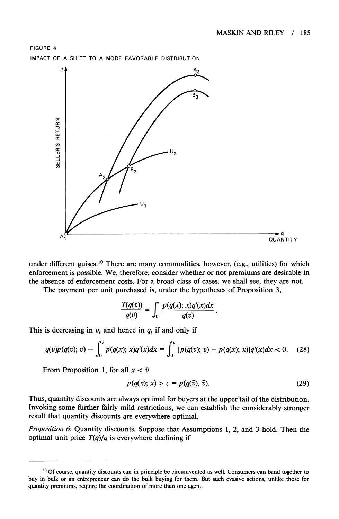

**under different guises.'0 There are many commodities, however, (e.g., utilities) for which enforcement is possible. We, therefore, consider whether or not premiums are desirable in the absence of enforcement costs. For a broad class of cases, we shall see, they are not.** 

**The payment per unit purchased is, under the hypotheses of Proposition 3,** 

$$
\frac{T(q(v))}{q(v)} = \int_0^v \frac{p(q(x); x)q'(x)dx}{q(v)}
$$

**This is decreasing in v, and hence in q, if and only if** 

$$
q(v)p(q(v); v) - \int_0^v p(q(x); x)q'(x)dx = \int_0^v [p(q(v); v) - p(q(x); x)]q'(x)dx < 0.
$$
 (28)

From Proposition 1, for all  $x < \overline{v}$ 

$$
p(q(x); x) > c = p(q(\bar{v}), \bar{v}).
$$
\n(29)

**Thus, quantity discounts are always optimal for buyers at the upper tail of the distribution. Invoking some further fairly mild restrictions, we can establish the considerably stronger result that quantity discounts are everywhere optimal.** 

**Proposition 6: Quantity discounts. Suppose that Assumptions 1, 2, and 3 hold. Then the**  optimal unit price  $T(q)/q$  is everywhere declining if

**<sup>&#</sup>x27;0 Of course, quantity discounts can in principle be circumvented as well. Consumers can band together to buy in bulk or an entrepreneur can do the bulk buying for them. But such evasive actions, unlike those for quantity premiums, require the coordination of more than one agent.**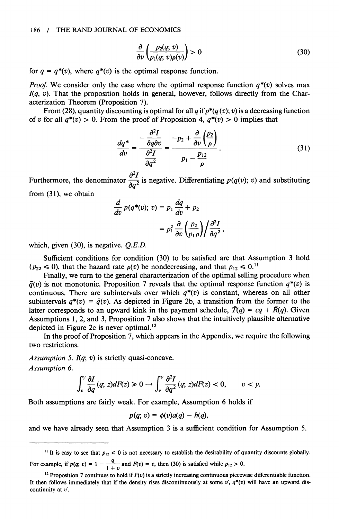$$
\frac{\partial}{\partial v} \left( \frac{p_2(q; v)}{p_1(q; v) \rho(v)} \right) > 0 \tag{30}
$$

for  $q = q^*(v)$ , where  $q^*(v)$  is the optimal response function.

*Proof.* We consider only the case where the optimal response function  $q^*(v)$  solves max **I(q, v). That the proposition holds in general, however, follows directly from the Characterization Theorem (Proposition 7).** 

From (28), quantity discounting is optimal for all  $q$  if  $p^*(q(v); v)$  is a decreasing function of v for all  $q^*(v) > 0$ . From the proof of Proposition 4,  $q^*(v) > 0$  implies that

$$
\frac{dq^*}{dv} = \frac{-\frac{\partial^2 I}{\partial q \partial v}}{\frac{\partial^2 I}{\partial q^2}} = \frac{-p_2 + \frac{\partial}{\partial v} \left(\frac{p_2}{\rho}\right)}{p_1 - \frac{p_{12}}{\rho}}.
$$
\n(31)

Furthermore, the denominator  $\frac{\partial^2 I}{\partial q^2}$  is negative. Differentiating  $p(q(v); v)$  and substituting **from (31), we obtain** 

$$
\frac{d}{dv} p(q^*(v); v) = p_1 \frac{dq}{dv} + p_2
$$

$$
= p_1^2 \frac{\partial}{\partial v} \left(\frac{p_2}{p_1 \rho}\right) \frac{\partial^2 I}{\partial q^2},
$$

**which, given (30), is negative. Q.E.D.** 

**Sufficient conditions for condition (30) to be satisfied are that Assumption 3 hold**   $(p_{22} \le 0)$ , that the hazard rate  $\rho(v)$  be nondecreasing, and that  $p_{12} \le 0$ .<sup>11</sup>

**Finally, we turn to the general characterization of the optimal selling procedure when**   $\bar{q}(v)$  is not monotonic. Proposition 7 reveals that the optimal response function  $q^*(v)$  is continuous. There are subintervals over which  $q^*(v)$  is constant, whereas on all other subintervals  $q^*(v) = \bar{q}(v)$ . As depicted in Figure 2b, a transition from the former to the latter corresponds to an upward kink in the payment schedule,  $\overline{T}(q) = cq + \overline{R}(q)$ . Given **Assumptions 1, 2, and 3, Proposition 7 also shows that the intuitively plausible alternative depicted in Figure 2c is never optimal.'2** 

**In the proof of Proposition 7, which appears in the Appendix, we require the following two restrictions.** 

**Assumption 5. I(q; v) is strictly quasi-concave. Assumption 6.** 

$$
\int_v^v \frac{\partial I}{\partial q}(q; z)dF(z) \geq 0 \longrightarrow \int_v^v \frac{\partial^2 I}{\partial q^2}(q; z)dF(z) < 0, \quad v < y.
$$

**Both assumptions are fairly weak. For example, Assumption 6 holds if** 

$$
p(q; v) = \phi(v)a(q) - h(q),
$$

**and we have already seen that Assumption 3 is a sufficient condition for Assumption 5.** 

<sup>&</sup>lt;sup>11</sup> It is easy to see that  $p_{12} \le 0$  is not necessary to establish the desirability of quantity discounts globally. For example, if  $p(q; v) = 1 - \frac{q}{1+v}$  and  $F(v) = v$ , then (30) is satisfied while  $p_{12} > 0$ .

<sup>&</sup>lt;sup>12</sup> Proposition 7 continues to hold if  $F(v)$  is a strictly increasing continuous piecewise differentiable function. It then follows immediately that if the density rises discontinuously at some  $v'$ ,  $q^*(v)$  will have an upward dis**continuity at v'.**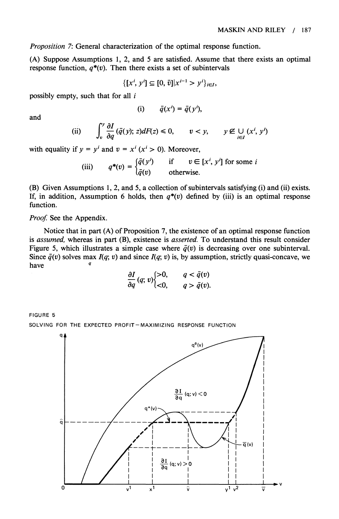**Proposition 7: General characterization of the optimal response function.** 

**(A) Suppose Assumptions 1, 2, and 5 are satisfied. Assume that there exists an optimal**  response function,  $q^*(v)$ . Then there exists a set of subintervals

$$
\{[x^i, y^i] \subseteq [0, \bar{v}] | x^{i-1} > y^i \}_{i \in I},
$$

**possibly empty, such that for all i** 

$$
(i) \qquad \bar{q}(x') = \bar{q}(y'),
$$

**and** 

(ii) 
$$
\int_v^y \frac{\partial I}{\partial q}(\bar{q}(y); z)dF(z) \leq 0, \qquad v < y, \qquad y \notin \bigcup_{i \in I} (x^i, y^i)
$$

with equality if  $y = y^i$  and  $v = x^i$  ( $x^i > 0$ ). Moreover,

(iii) 
$$
q^*(v) = \begin{cases} \bar{q}(y') & \text{if } v \in [x^i, y'] \text{ for some } i \\ \bar{q}(v) & \text{otherwise.} \end{cases}
$$

**(B) Given Assumptions 1, 2, and 5, a collection of subintervals satisfying (i) and (ii) exists.**  If, in addition, Assumption 6 holds, then  $q^*(v)$  defined by (iii) is an optimal response **function.** 

**Proof. See the Appendix.** 

**Notice that in part (A) of Proposition 7, the existence of an optimal response function is assumed, whereas in part (B), existence is asserted. To understand this result consider**  Figure 5, which illustrates a simple case where  $\bar{q}(v)$  is decreasing over one subinterval. Since  $\bar{q}(v)$  solves max  $I(q; v)$  and since  $I(q; v)$  is, by assumption, strictly quasi-concave, we  $h$ ave

$$
\frac{\partial I}{\partial q}(q; v)\begin{cases} >0, & q < \bar{q}(v) \\ <0, & q > \bar{q}(v). \end{cases}
$$

**FIGURE 5 SOLVING FOR THE EXPECTED PROFIT-MAXIMIZING RESPONSE FUNCTION** 

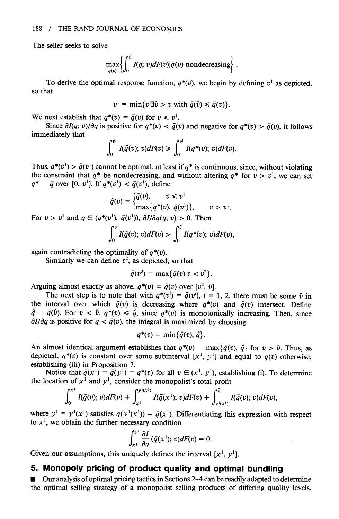**The seller seeks to solve** 

$$
\max_{q(v)} \left\{ \int_0^{\bar{v}} I(q; v) dF(v) | q(v) \text{ nondecreasing} \right\}.
$$

To derive the optimal response function,  $q^*(v)$ , we begin by defining  $v^1$  as depicted, **so that** 

$$
v^1 = \min\{v | \exists \hat{v} > v \text{ with } \bar{q}(\hat{v}) \leq \bar{q}(v) \}.
$$

We next establish that  $q^*(v) = \bar{q}(v)$  for  $v \leq v^1$ .

Since  $\partial I(q; v)/\partial q$  is positive for  $q^*(v) < \overline{q}(v)$  and negative for  $q^*(v) > \overline{q}(v)$ , it follows **immediately that** 

$$
\int_0^{v^1} I(\bar{q}(v); v)dF(v) \geq \int_0^{v^1} I(q^*(v); v)dF(v).
$$

Thus,  $q^*(v^1) > \bar{q}(v^1)$  cannot be optimal, at least if  $q^*$  is continuous, since, without violating the constraint that  $q^*$  be nondecreasing, and without altering  $q^*$  for  $v > v^1$ , we can set  $q^* = \bar{q}$  over [0, v<sup>1</sup>]. If  $q^*(v^1) < \bar{q}(v^1)$ , define

$$
\hat{q}(v) = \begin{cases} \bar{q}(v), & v \leq v^1 \\ \max\{q^*(v), \ \bar{q}(v^1)\}, & v > v^1. \end{cases}
$$

For  $v > v^1$  and  $a \in (a^*(v^1), \bar{a}(v^1))$ ,  $\partial I/\partial a(a; v) > 0$ . Then

$$
\int_0^{\bar{v}} I(\hat{q}(v); v)dF(v) > \int_0^{\bar{v}} I(q^*(v); v)dF(v),
$$

again contradicting the optimality of  $q^*(v)$ .

Similarly we can define  $v^2$ , as depicted, so that

$$
\bar{q}(v^2)=\max{\{\bar{q}(v)|v
$$

Arguing almost exactly as above,  $q^*(v) = \bar{q}(v)$  over  $[v^2, \bar{v}]$ .

The next step is to note that with  $q^*(v^i) = \overline{q}(v^i)$ ,  $i = 1, 2$ , there must be some  $\hat{v}$  in the interval over which  $\bar{q}(v)$  is decreasing where  $q^*(v)$  and  $\bar{q}(v)$  intersect. Define  $\hat{q} = \bar{q}(\hat{v})$ . For  $v < \hat{v}$ ,  $q^*(v) \leq \hat{q}$ , since  $q^*(v)$  is monotonically increasing. Then, since  $\partial I/\partial q$  is positive for  $q < \bar{q}(v)$ , the integral is maximized by choosing

$$
q^*(v) = \min\{\bar{q}(v),\,\hat{q}\}.
$$

An almost identical argument establishes that  $q^*(v) = \max{\{\bar{q}(v), \hat{q}\}}$  for  $v > \hat{v}$ . Thus, as depicted,  $q^*(v)$  is constant over some subinterval  $[x^1, y^1]$  and equal to  $\bar{q}(v)$  otherwise, establishing (iii) in Proposition 7. **establishing (iii) in Proposition 7.** 

Notice that  $q(x^1) = q(y^1) = q^*(v)$  for all  $v \in (x^1, y^1)$ , establishing (i). To determine the location of  $x^1$  and  $y^1$ , consider the monopolist's total profit

$$
\int_0^{x^1} I(\bar{q}(v); v) dF(v) + \int_{x^1}^{y^1(x^1)} I(\bar{q}(x^1); v) dF(v) + \int_{y^1(x^1)}^{\bar{v}} I(\bar{q}(v); v) dF(v),
$$

where  $y^1 = y^1(x^1)$  satisfies  $\bar{q}(y^1(x^1)) = \bar{q}(x^1)$ . Differentiating this expression with respect to  $x<sup>1</sup>$ , we obtain the further necessary condition

$$
\int_{x^1}^{y^1} \frac{\partial I}{\partial q}(\bar{q}(x^1); v)dF(v) = 0.
$$

Given our assumptions, this uniquely defines the interval  $[x^1, y^1]$ .

## **5. Monopoly pricing of product quality and optimal bundling**

■ Our analysis of optimal pricing tactics in Sections 2–4 can be readily adapted to determine **the optimal selling strategy of a monopolist selling products of differing quality levels.**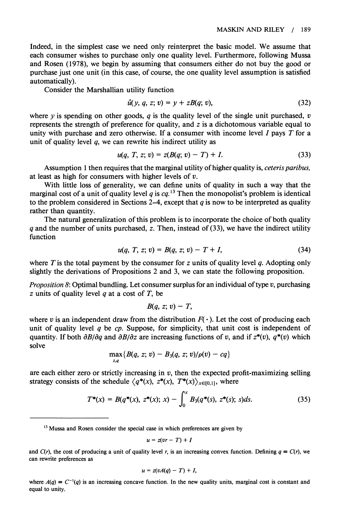**Indeed, in the simplest case we need only reinterpret the basic model. We assume that each consumer wishes to purchase only one quality level. Furthermore, following Mussa and Rosen (1978), we begin by assuming that consumers either do not buy the good or purchase just one unit (in this case, of course, the one quality level assumption is satisfied automatically).** 

**Consider the Marshallian utility function** 

$$
\hat{u}(y, q, z; v) = y + zB(q; v), \tag{32}
$$

where y is spending on other goods, q is the quality level of the single unit purchased,  $v$ **represents the strength of preference for quality, and z is a dichotomous variable equal to unity with purchase and zero otherwise. If a consumer with income level I pays T for a unit of quality level q, we can rewrite his indirect utility as** 

$$
u(q, T, z; v) = z(B(q; v) - T) + I.
$$
\n(33)

**Assumption 1 then requires that the marginal utility of higher quality is, ceteris paribus, at least as high for consumers with higher levels of v.** 

**With little loss of generality, we can define units of quality in such a way that the marginal cost of a unit of quality level q is cq. 13 Then the monopolist's problem is identical**  to the problem considered in Sections 2–4, except that  $q$  is now to be interpreted as quality **rather than quantity.** 

**The natural generalization of this problem is to incorporate the choice of both quality q and the number of units purchased, z. Then, instead of (33), we have the indirect utility function** 

$$
u(q, T, z; v) = B(q, z; v) - T + I,
$$
\n(34)

where T is the total payment by the consumer for z units of quality level q. Adopting only **slightly the derivations of Propositions 2 and 3, we can state the following proposition.** 

**Proposition 8: Optimal bundling. Let consumer surplus for an individual of type v, purchasing z units of quality level q at a cost of T, be** 

$$
B(q, z; v) - T,
$$

where v is an independent draw from the distribution  $F(\cdot)$ . Let the cost of producing each **unit of quality level q be cp. Suppose, for simplicity, that unit cost is independent of**  quantity. If both  $\partial B/\partial q$  and  $\partial B/\partial z$  are increasing functions of v, and if  $z^*(v)$ ,  $q^*(v)$  which **solve** 

$$
\max_{z,q} \{B(q, z; v) - B_3(q, z; v)/\rho(v) - cq\}
$$

are each either zero or strictly increasing in  $v$ , then the expected profit-maximizing selling strategy consists of the schedule  $\langle q^*(x), z^*(x), T^*(x) \rangle_{x \in [0,1]},$  where

$$
T^*(x) = B(q^*(x), z^*(x); x) - \int_0^x B_3(q^*(s), z^*(s); s) ds.
$$
 (35)

$$
u=z(vr-T)+I
$$

and  $C(r)$ , the cost of producing a unit of quality level r, is an increasing convex function. Defining  $q = C(r)$ , we **can rewrite preferences as** 

$$
u=z(vA(q)-T)+I,
$$

where  $A(q) = C^{-1}(q)$  is an increasing concave function. In the new quality units, marginal cost is constant and **equal to unity.** 

<sup>&</sup>lt;sup>13</sup> Mussa and Rosen consider the special case in which preferences are given by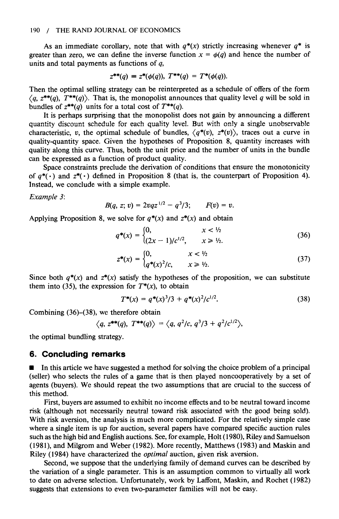As an immediate corollary, note that with  $q^*(x)$  strictly increasing whenever  $q^*$  is greater than zero, we can define the inverse function  $x = \phi(q)$  and hence the number of **units and total payments as functions of q,** 

$$
z^{**}(q) \equiv z^{*}(\phi(q)), \; T^{**}(q) = T^{*}(\phi(q)).
$$

**Then the optimal selling strategy can be reinterpreted as a schedule of offers of the form**   $\langle q, z^{**}(q), T^{**}(q) \rangle$ . That is, the monopolist announces that quality level q will be sold in bundles of  $z^{**}(q)$  units for a total cost of  $T^{**}(q)$ .

**It is perhaps surprising that the monopolist does not gain by announcing a different quantity discount schedule for each quality level. But with only a single unobservable**  characteristic, v, the optimal schedule of bundles,  $\langle q^*(v), z^*(v) \rangle$ , traces out a curve in **quality-quantity space. Given the hypotheses of Proposition 8, quantity increases with quality along this curve. Thus, both the unit price and the number of units in the bundle can be expressed as a function of product quality.** 

**Space constraints preclude the derivation of conditions that ensure the monotonicity**  of  $q^*(\cdot)$  and  $z^*(\cdot)$  defined in Proposition 8 (that is, the counterpart of Proposition 4). **Instead, we conclude with a simple example.** 

**Example 3:** 

$$
B(q, z; v) = 2vqz^{1/2} - q^3/3; \qquad F(v) = v.
$$

Applying Proposition 8, we solve for  $q^*(x)$  and  $z^*(x)$  and obtain

$$
q^*(x) = \begin{cases} 0, & x < \frac{1}{2} \\ (2x - 1)/c^{1/2}, & x \ge \frac{1}{2} \end{cases}
$$
 (36)

$$
z^*(x) = \begin{cases} 0, & x < \frac{1}{2} \\ q^*(x)^2/c, & x \ge \frac{1}{2} \end{cases}
$$
 (37)

Since both  $q^*(x)$  and  $z^*(x)$  satisfy the hypotheses of the proposition, we can substitute them into (35), the expression for  $T^*(x)$ , to obtain

$$
T^*(x) = q^*(x)^3/3 + q^*(x)^2/c^{1/2}.
$$
 (38)

**Combining (36)-(38), we therefore obtain** 

$$
\langle q, z^{**}(q), T^{**}(q) \rangle = \langle q, q^2/c, q^3/3 + q^2/c^{1/2} \rangle,
$$

**the optimal bundling strategy.** 

#### **6. Concluding remarks**

 $\blacksquare$  In this article we have suggested a method for solving the choice problem of a principal **(seller) who selects the rules of a game that is then played noncooperatively by a set of agents (buyers). We should repeat the two assumptions that are crucial to the success of this method.** 

**First, buyers are assumed to exhibit no income effects and to be neutral toward income risk (although not necessarily neutral toward risk associated with the good being sold). With risk aversion, the analysis is much more complicated. For the relatively simple case where a single item is up for auction, several papers have compared specific auction rules such as the high bid and English auctions. See, for example, Holt (1980), Riley and Samuelson (1981), and Milgrom and Weber (1982). More recently, Matthews (1983) and Maskin and Riley (1984) have characterized the optimal auction, given risk aversion.** 

**Second, we suppose that the underlying family of demand curves can be described by the variation of a single parameter. This is an assumption common to virtually all work to date on adverse selection. Unfortunately, work by Laffont, Maskin, and Rochet (1982) suggests that extensions to even two-parameter families will not be easy.**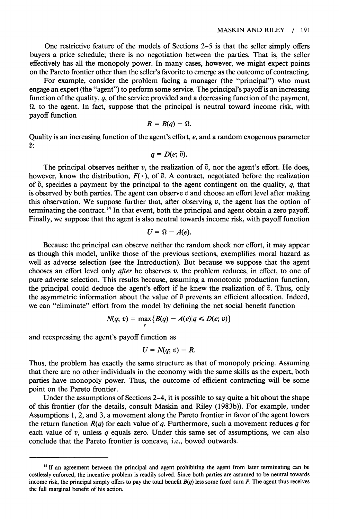**One restrictive feature of the models of Sections 2-5 is that the seller simply offers buyers a price schedule; there is no negotiation between the parties. That is, the seller effectively has all the monopoly power. In many cases, however, we might expect points on the Pareto frontier other than the seller's favorite to emerge as the outcome of contracting.** 

**For example, consider the problem facing a manager (the "principal") who must engage an expert (the "agent") to perform some service. The principal's payoff is an increasing function of the quality, q, of the service provided and a decreasing function of the payment, Q, to the agent. In fact, suppose that the principal is neutral toward income risk, with payoff function** 

$$
R=B(q)-\Omega.
$$

**Quality is an increasing function of the agent's effort, e, and a random exogenous parameter**   $\tilde{v}$ :

$$
q=D(e; \tilde{v}).
$$

The principal observes neither v, the realization of  $\tilde{v}$ , nor the agent's effort. He does, however, know the distribution,  $F(\cdot)$ , of  $\tilde{v}$ . A contract, negotiated before the realization of  $\tilde{v}$ , specifies a payment by the principal to the agent contingent on the quality,  $q$ , that **is observed by both parties. The agent can observe v and choose an effort level after making**  this observation. We suppose further that, after observing  $v$ , the agent has the option of **terminating the contract.14 In that event, both the principal and agent obtain a zero payoff. Finally, we suppose that the agent is also neutral towards income risk, with payoff function** 

$$
U=\Omega-A(e).
$$

**Because the principal can observe neither the random shock nor effort, it may appear as though this model, unlike those of the previous sections, exemplifies moral hazard as well as adverse selection (see the Introduction). But because we suppose that the agent chooses an effort level only after he observes v, the problem reduces, in effect, to one of pure adverse selection. This results because, assuming a monotonic production function,**  the principal could deduce the agent's effort if he knew the realization of  $\tilde{v}$ . Thus, only the asymmetric information about the value of  $\tilde{v}$  prevents an efficient allocation. Indeed, **we can "eliminate" effort from the model by defining the net social benefit function** 

$$
N(q; v) = \max_{e} \{B(q) - A(e)|q \le D(e; v)\}
$$

**and reexpressing the agent's payoff function as** 

$$
U=N(q; v)-R.
$$

**Thus, the problem has exactly the same structure as that of monopoly pricing. Assuming that there are no other individuals in the economy with the same skills as the expert, both parties have monopoly power. Thus, the outcome of efficient contracting will be some point on the Pareto frontier.** 

**Under the assumptions of Sections 2-4, it is possible to say quite a bit about the shape of this frontier (for the details, consult Maskin and Riley (1983b)). For example, under Assumptions 1, 2, and 3, a movement along the Pareto frontier in favor of the agent lowers**  the return function  $R(q)$  for each value of q. Furthermore, such a movement reduces q for **each value of v, unless q equals zero. Under this same set of assumptions, we can also conclude that the Pareto frontier is concave, i.e., bowed outwards.** 

**<sup>14</sup>If an agreement between the principal and agent prohibiting the agent from later terminating can be costlessly enforced, the incentive problem is readily solved. Since both parties are assumed to be neutral towards income risk, the principal simply offers to pay the total benefit B(q) less some fixed sum P. The agent thus receives the full marginal benefit of his action.**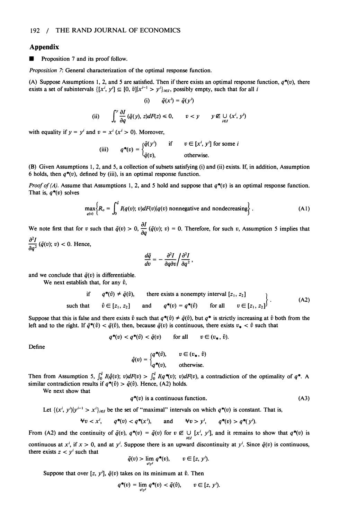#### **Appendix**

**\* Proposition 7 and its proof follow.** 

**Proposition 7: General characterization of the optimal response function.** 

(A) Suppose Assumptions 1, 2, and 5 are satisfied. Then if there exists an optimal response function,  $q^*(v)$ , there exists a set of subintervals  $\{[x^i, y^i] \subseteq [0, \bar{v}]\vert x^{i-1} > y^i\}_{i \in I}$ , possibly empty, such that for all *i* 

$$
(i) \qquad \bar{q}(x') = \bar{q}(y')
$$

(ii) 
$$
\int_v^y \frac{\partial I}{\partial q}(\bar{q}(y), z)dF(z) \leq 0, \qquad v < y \qquad y \notin \bigcup_{i \in I} (x^i, y^i)
$$

with equality if  $y = y^i$  and  $v = x^i$  ( $x^i > 0$ ). Moreover,

(iii) 
$$
q^*(v) = \begin{cases} \bar{q}(y^i) & \text{if } v \in [x^i, y^i] \text{ for some } i \\ \bar{q}(v), & \text{otherwise.} \end{cases}
$$

**(B) Given Assumptions 1, 2, and 5, a collection of subsets satisfying (i) and (ii) exists. If, in addition, Assumption**  6 holds, then  $q^*(v)$ , defined by (iii), is an optimal response function.

**Proof of (A).** Assume that Assumptions 1, 2, and 5 hold and suppose that  $q^*(v)$  is an optimal response function. **That is, q\*(v) solves** 

$$
\max_{q(v)} \left\{ R_o = \int_0^{\bar{v}} I(q(v); v) dF(v) | q(v) \text{ nonnegative and nondecreasing} \right\}. \tag{A1}
$$

We note first that for v such that  $\bar{q}(v) > 0$ ,  $\frac{\partial}{\partial q}(\bar{q}(v); v) = 0$ . Therefore, for such v, Assumption 5 implies that  $\frac{\partial^2 I}{\partial a^2}(\bar{q}(v); v) < 0$ . Hence,

$$
\frac{d\bar{q}}{dv}=-\frac{\partial^2 I}{\partial q\partial v}/\frac{\partial^2 I}{\partial q^2},
$$

and we conclude that  $\tilde{q}(v)$  is differentiable.

We next establish that, for any  $\hat{v}$ ,

if 
$$
q^*(\hat{v}) \neq \bar{q}(\hat{v})
$$
, there exists a nonempty interval  $[z_1, z_2]$   
such that  $\hat{v} \in [z_1, z_2]$  and  $q^*(v) = q^*(\hat{v})$  for all  $v \in [z_1, z_2]$  (A2)

Suppose that this is false and there exists  $\hat{v}$  such that  $q^*(\hat{v}) \neq \bar{q}(\hat{v})$ , but  $q^*$  is strictly increasing at  $\hat{v}$  both from the left and to the right. If  $\bar{q}^*(\hat{v}) < \bar{q}(\hat{v})$ , then, because  $\bar{q}(v)$  is continuous, there exists  $v_* < \hat{v}$  such that

$$
q^*(v) < q^*(\hat{v}) < \bar{q}(v) \qquad \text{for all} \qquad v \in (v_*, \hat{v}).
$$

**Define** 

$$
\hat{q}(v) = \begin{cases} q^*(\hat{v}), & v \in (v_*, \hat{v}) \\ q^*(v), & \text{otherwise.} \end{cases}
$$

Then from Assumption 5,  $\int_0^{\bar{v}} I(\hat{q}(v); v) dF(v) > \int_0^{\hat{v}} I(q^*(v); v) dF(v)$ , a contradiction of the optimality of  $q^*$ . A similar contradiction results if  $q^*(\hat{v}) > \bar{q}(\hat{v})$ . Hence, (A2) holds.

**We next show that** 

$$
q^*(v) \text{ is a continuous function.} \tag{A3}
$$

Let 
$$
\{(x^i, y^i)|y^{i-1} > x^i\}_{i \in I}
$$
 be the set of "maximal" intervals on which  $q^*(v)$  is constant. That is,

$$
\forall v < x^i, \qquad q^*(v) < q^*(x^i), \qquad \text{and} \qquad \forall v > y^i, \qquad q^*(v) > q^*(y^i).
$$

From (A2) and the continuity of  $\bar{q}(v)$ ,  $q^*(v) = \bar{q}(v)$  for  $v \notin \bigcup_{i \in I} [x^i, y^i]$ , and it remains to show that  $q^*(v)$  is continuous at  $x^i$ , if  $x > 0$ , and at  $y^i$ . Suppose there is an upward discontinuity at  $y^i$ . Since  $\bar{q}(v)$  is continuous, there exists  $z < y'$  such that

$$
\bar{q}(v) > \lim_{v \uparrow y^i} q^*(v), \qquad v \in [z, y^i).
$$

Suppose that over  $[z, y']$ ,  $\bar{q}(v)$  takes on its minimum at  $\hat{v}$ . Then

$$
q^*(v) = \lim_{v \uparrow v'} q^*(v) < \bar{q}(\hat{v}), \qquad v \in [z, y').
$$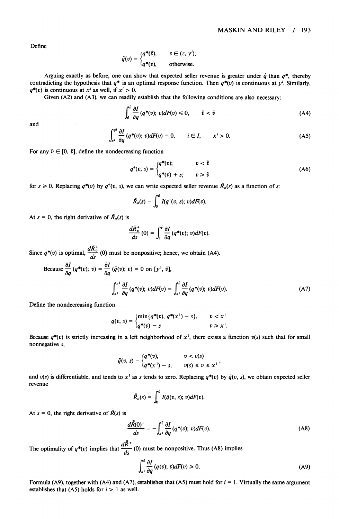**Define** 

$$
\hat{q}(v) = \begin{cases} q^*(\hat{v}), & v \in (z, y'), \\ q^*(v), & \text{otherwise.} \end{cases}
$$

Arguing exactly as before, one can show that expected seller revenue is greater under  $\hat{q}$  than  $q^*$ , thereby contradicting the hypothesis that  $q^*$  is an optimal response function. Then  $q^*(v)$  is continuous at  $y'$ . Similarly,  $q^*(v)$  is continuous at  $x^i$  as well, if  $x^i > 0$ .

**Given (A2) and (A3), we can readily establish that the following conditions are also necessary:** 

$$
\int_{\hat{v}}^{\hat{v}} \frac{\partial I}{\partial q} (q^*(v); \, v) dF(v) \le 0, \qquad \hat{v} < \bar{v} \tag{A4}
$$

**and** 

$$
\int_{x^i}^{y^i} \frac{\partial I}{\partial q} (q^*(v); v) dF(v) = 0, \qquad i \in I, \qquad x^i > 0.
$$
 (A5)

For any  $\hat{v} \in [0, \hat{v}]$ , define the nondecreasing function

$$
q^{+}(v, s) = \begin{cases} q^{+(v)}; & v < \hat{v} \\ q^{+(v)} + s; & v \ge \hat{v} \end{cases}
$$
 (A6)

for  $s \ge 0$ . Replacing  $q^*(v)$  by  $q^*(v, s)$ , we can write expected seller revenue  $\overline{R}_o(s)$  as a function of s:

$$
\bar{R}_o(s)=\int_0^{\bar{v}}I(q^+(v, s); v)dF(v).
$$

At  $s = 0$ , the right derivative of  $\bar{R}_o(s)$  is

$$
\frac{d\bar{R}^+_{o}}{ds}(0)=\int_{\hat{v}}^{\tilde{v}}\frac{\partial I}{\partial q}(q^*(v); v)dF(v).
$$

Since  $q^*(v)$  is optimal,  $\frac{d\overline{R}^+_{\sigma}}{ds}(0)$  must be nonpositive; hence, we obtain (A4).

Because 
$$
\frac{\partial I}{\partial q}(q^*(v); v) = \frac{\partial I}{\partial q}(\bar{q}(v); v) = 0
$$
 on  $[y^1, \bar{v}],$   

$$
\int_{x^1}^{y^1} \frac{\partial I}{\partial q}(q^*(v); v) dF(v) = \int_{x^1}^{\bar{v}} \frac{\partial I}{\partial q}(q^*(v); v) dF(v).
$$
 (A7)

**Define the nondecreasing function** 

$$
\bar{q}(v, s) = \begin{cases} \min\{q^*(v), q^*(x^1) - s\}, & v < x^1 \\ q^*(v) - s & v \geq x^1. \end{cases}
$$

Because  $q^*(v)$  is strictly increasing in a left neighborhood of  $x^1$ , there exists a function  $v(s)$  such that for small **nonnegative s,** 

$$
\bar{q}(v, s) = \begin{cases} q^*(v), & v < v(s) \\ q^*(x^1) - s, & v(s) \le v \le x^1 \end{cases}
$$

and  $v(s)$  is differentiable, and tends to x<sup>1</sup> as s tends to zero. Replacing  $q^*(v)$  by  $\bar{q}(v, s)$ , we obtain expected seller **revenue** 

$$
\bar{\bar{R}}_o(s) = \int_0^{\tilde{v}} I(\bar{q}(v, s); v) dF(v).
$$

At  $s = 0$ , the right derivative of  $\bar{R}(s)$  is

$$
\frac{d\bar{\bar{R}}(0)^{+}}{ds} = -\int_{x^1}^{\bar{v}} \frac{\partial I}{\partial q} (q^*(v); v) dF(v).
$$
 (A8)

The optimality of  $q^*(v)$  implies that  $\frac{dK}{ds}(0)$  must be nonpositive. Thus (A8) implies

$$
\int_{x^1}^{\tilde{v}} \frac{\partial I}{\partial q} (q(v); v) dF(v) \ge 0.
$$
 (A9)

Formula (A9), together with (A4) and (A7), establishes that (A5) must hold for  $i = 1$ . Virtually the same argument establishes that  $(A5)$  holds for  $i > 1$  as well.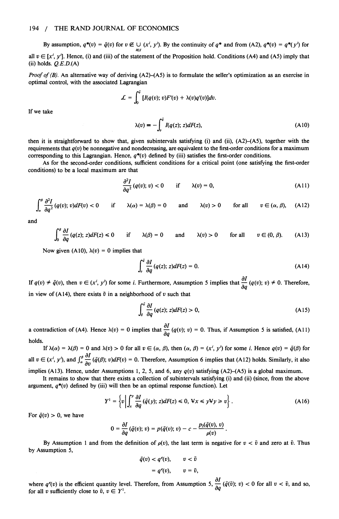**By assumption,**  $q^*(v) = \bar{q}(v)$  **for**  $v \notin \bigcup_{i \in I} (x', y')$ **. By the continuity of**  $q^*$  **and from (A2),**  $q^*(v) = q^*(y')$  **for** all  $v \in [x^i, y^i]$ . Hence, (i) and (iii) of the statement of the Proposition hold. Conditions (A4) and (A5) imply that **(ii) holds. Q.E.D.(A)** 

**Proof of (B). An alternative way of deriving (A2)-(A5) is to formulate the seller's optimization as an exercise in optimal control, with the associated Lagrangian** 

$$
\mathcal{L} = \int_0^v [I(q(v); v)F'(v) + \lambda(v)q'(v)]dv.
$$
  

$$
\lambda(v) = -\int_0^v I(q(z); z)dF(z),
$$
 (A10)

**If we take** 

then it is straightforward to show that, given subintervals satisfying (i) and (ii), (A2)–(A5), together with the requirements that 
$$
q(v)
$$
 be nonnegative and nondecreasing, are equivalent to the first-order conditions for a maximum

**corresponding to this Lagrangian. Hence, q\*(v) defined by (iii) satisfies the first-order conditions. As for the second-order conditions, sufficient conditions for a critical point (one satisfying the first-order** 

**conditions) to be a local maximum are that** 

$$
\frac{\partial^2 I}{\partial q^2} (q(v); v) < 0 \quad \text{if} \quad \lambda(v) = 0, \tag{A11}
$$

$$
\int_{\alpha}^{\beta} \frac{\partial^2 I}{\partial q^2} (q(v); v) dF(v) < 0 \quad \text{if} \quad \lambda(\alpha) = \lambda(\beta) = 0 \quad \text{and} \quad \lambda(v) > 0 \quad \text{for all} \quad v \in (\alpha, \beta), \quad (A12)
$$

**and** 

$$
\int_0^\beta \frac{\partial I}{\partial q} (q(z); z) dF(z) \le 0 \quad \text{if} \quad \lambda(\beta) = 0 \quad \text{and} \quad \lambda(v) > 0 \quad \text{for all} \quad v \in (0, \beta). \tag{A13}
$$

Now given (A10),  $\lambda(v) = 0$  implies that

$$
\int_{v}^{\tilde{v}} \frac{\partial I}{\partial q} (q(z); z) dF(z) = 0.
$$
 (A14)

If  $q(v) \neq \bar{q}(v)$ , then  $v \in (x^i, y^i)$  for some *i*. Furthermore, Assumption 5 implies that  $\frac{\partial I}{\partial q}(q(v); v) \neq 0$ . Therefore, in view of (A14), there exists  $\tilde{v}$  in a neighborhood of  $v$  such that

$$
\int_{\delta}^{\delta} \frac{\partial I}{\partial q} (q(z); z) dF(z) > 0, \tag{A15}
$$

**a** contradiction of (A4). Hence  $\lambda(v) = 0$  implies that  $\frac{\partial}{\partial q}(q(v); v) = 0$ . Thus, if Assumption 5 is satisfied, (A11) **holds.** 

**If**  $\lambda(\alpha) = \lambda(\beta) = 0$  and  $\lambda(\nu) > 0$  for all  $\nu \in (\alpha, \beta)$ , then  $(\alpha, \beta) = (x^i, y^i)$  for some *i*. Hence  $q(\nu) = \overline{q}(\beta)$  for all  $v \in (x^i, y^i)$ , and  $\int_{\alpha}^{\beta} \frac{\partial I}{\partial v}(\bar{q}(\beta); v) dF(v) = 0$ . Therefore, Assumption 6 implies that (A12) holds. Similarly, it also implies (A13). Hence, under Assumptions 1, 2, 5, and 6, any  $q(v)$  satisfying (A2)-(A5) is a global maximum.

**It remains to show that there exists a collection of subintervals satisfying (i) and (ii) (since, from the above**  argument,  $q^*(v)$  defined by (iii) will then be an optimal response function). Let

$$
Y^{1} = \left\{ v \left| \int_{x}^{y} \frac{\partial I}{\partial q}(\bar{q}(y); z) dF(z) \leq 0, \, \forall x \leq y \forall y \geq v \right\} \right. \tag{A16}
$$

For  $\bar{q}(v) > 0$ , we have

$$
0=\frac{\partial I}{\partial q}(\bar{q}(v);v)=p(\bar{q}(v);v)-c-\frac{p_2(\bar{q}(v),v)}{\rho(v)}.
$$

By Assumption 1 and from the definition of  $p(v)$ , the last term is negative for  $v < \bar{v}$  and zero at  $\bar{v}$ . Thus **by Assumption 5,** 

$$
\bar{q}(v) < q^{e}(v), \quad v < \bar{v}
$$
\n
$$
= q^{e}(v), \quad v = \bar{v},
$$

where  $q^e(v)$  is the efficient quantity level. Therefore, from Assumption 5,  $\frac{1}{2}$  ( $\bar{q}(\bar{v})$ ; v) < 0 for all  $v < \bar{v}$ , and so, **for all v sufficiently close to**  $\bar{v}$ **,**  $v \in Y^1$ **.**  $\hspace{1cm}$  $\hspace{1cm}$  $\hspace{1cm}$  $\hspace{1cm}$  $\hspace{1cm}$  $\hspace{1cm}$  $\hspace{1cm}$  $\hspace{1cm}$  $\hspace{1cm}$  $\hspace{1cm}$  $\hspace{1cm}$  $\hspace{1cm}$  $\hspace{1cm}$  $\hspace{1cm}$  $\hspace{1cm}$  $\hspace{1cm}$  $\hspace{1cm}$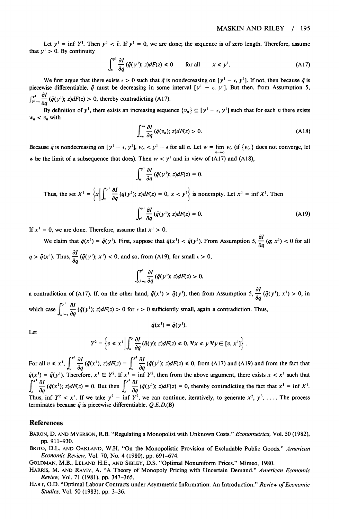Let  $y' = \inf Y'$ . Then  $y' < \bar{v}$ . If  $y' = 0$ , we are done; the sequence is of zero length. Therefore, assume that  $y^1 > 0$ . By continuity

$$
\int_{x}^{y^{1}} \frac{\partial I}{\partial q}(\bar{q}(y^{1}); z)dF(z) \le 0 \qquad \text{for all} \qquad x \le y^{1}.
$$
 (A17)

We first argue that there exists  $\epsilon > 0$  such that  $\bar{q}$  is nondecreasing on  $[y^1 - \epsilon, y^1]$ . If not, then because  $\bar{q}$  is piecewise differentiable,  $\bar{q}$  must be decreasing in some interval  $[y^1 - \epsilon, y^1]$ . But then, from Assumption 5,  $\int_{y_1-\epsilon}^{y_1} \frac{\partial I}{\partial a}(\bar{q}(y_1)); z)dF(z) > 0$ , thereby contradicting (A17).

**By definition of y', there exists an increasing sequence**  $\{v_n\} \subseteq [y^1 - \epsilon, y^1]$  **such that for each** *n* **there exists**  $w_n < v_n$  with

$$
\int_{w_n}^{v_n} \frac{\partial I}{\partial q} \left( \bar{q}(v_n); \ z \right) dF(z) > 0. \tag{A18}
$$

Because  $\bar{q}$  is nondecreasing on  $[y^1 - \epsilon, y^1]$ ,  $w_n < y^1 - \epsilon$  for all n. Let  $w = \lim_{n \to \infty} w_n$  (if  $\{w_n\}$  does not converge, let w be the limit of a subsequence that does). Then  $w < y<sup>1</sup>$  and in view of (A17) and (A18),

$$
\int_{w}^{y^1} \frac{\partial I}{\partial q} \left( \bar{q}(y^1); z \right) dF(z) = 0.
$$

Thus, the set 
$$
X^1 = \left\{ x \middle| \int_x^{y^1} \frac{\partial I}{\partial q} (\bar{q}(y^1); z) dF(z) = 0, x < y^1 \right\}
$$
 is nonempty. Let  $x^1 = \inf X^1$ . Then  

$$
\int_{x^1}^{y^1} \frac{\partial I}{\partial q} (\bar{q}(y^1); z) dF(z) = 0.
$$
 (A19)

If  $x^1 = 0$ , we are done. Therefore, assume that  $x^1 > 0$ .

We claim that  $\bar{q}(x^1) = \bar{q}(y^1)$ . First, suppose that  $\bar{q}(x^1) < \bar{q}(y^1)$ . From Assumption 5,  $\frac{d}{dq}(q; x^1) < 0$  for all  $q > \bar{q}(x^{1})$ . Thus,  $\frac{\partial I}{\partial q}(q^{1})$ ;  $x^{1}$  < 0, and so, from (A19), for small  $\epsilon > 0$ ,

$$
\int_{x^1+\epsilon}^{y^1} \frac{\partial I}{\partial q}(\bar{q}(y^1); z)dF(z) > 0,
$$

**a** contradiction of (A17). If, on the other hand,  $\bar{q}(x^1) > \bar{q}(y^1)$ , then from Assumption 5,  $\frac{d}{dq}(\bar{q}(y^1); x^1) > 0$ , in which case  $\int_{0}^{y_1} \frac{\partial I}{\partial x}(\bar{q}(y^1); z) dF(z) > 0$  for  $\epsilon > 0$  sufficiently small, again a contradiction. Thus,

**Let** 

$$
Y^2 = \left\{ v \leq x^1 \middle| \int_x^y \frac{\partial I}{\partial q} \left( \bar{q}(y); z \right) dF(z) \leq 0, \ \forall x \leq y \ \forall y \in [v, x^1] \right\}.
$$

 $\bar{q}(x^1) = \bar{q}(y^1).$ 

For all  $v \le x^1$ ,  $\int_{\partial \Omega} \frac{\partial f}{\partial q}(q(x^1), z) dF(z) = \int_{\partial \Omega} \frac{\partial f}{\partial q}(q(y^1); z) dF(z) \le 0$ , from (A17) and (A19) and from the fact that  $\bar{q}(x') = \bar{q}(y')$ . Therefore,  $x' \in Y^2$ . If  $x' = \inf Y^2$ , then from the above argument, there exists  $x < x'$  such that  $\int_{x}^{x} \frac{\partial I}{\partial q}(\bar{q}(x^1); z)dF(z) = 0$ . But then  $\int_{x}^{y^1} \frac{\partial I}{\partial q}(\bar{q}(y^1); z)dF(z) = 0$ , thereby contradicting the fact that  $x^1 = \inf X^1$ . Thus, inf  $Y^2 < x^1$ . If we take  $y^2 = \inf Y^2$ , we can continue, iteratively, to generate  $x^2$ ,  $y^3$ , .... The process **terminates because**  $\bar{q}$  **is piecewise differentiable.**  $Q.E.D.(B)$ 

#### **References**

- **BARON, D. AND MYERSON, R.B. "Regulating a Monopolist with Unknown Costs." Econometrica, Vol. 50 (1982), pp. 911-930.**
- **BRITO, D.L. AND OAKLAND, W.H. "On the Monopolistic Provision of Excludable Public Goods." American Economic Review, Vol. 70, No. 4 (1980), pp. 691-674.**
- **GOLDMAN, M.B., LELAND H.E., AND SIBLEY, D.S. "Optimal Nonuniform Prices." Mimeo, 1980.**
- **HARRIS, M. AND RAVIV, A. "A Theory of Monopoly Pricing with Uncertain Demand." American Economic Review, Vol. 71 (1981), pp. 347-365.**
- **HART, O.D. "Optimal Labour Contracts under Asymmetric Information: An Introduction." Review of Economic Studies, Vol. 50 (1983), pp. 3-36.**